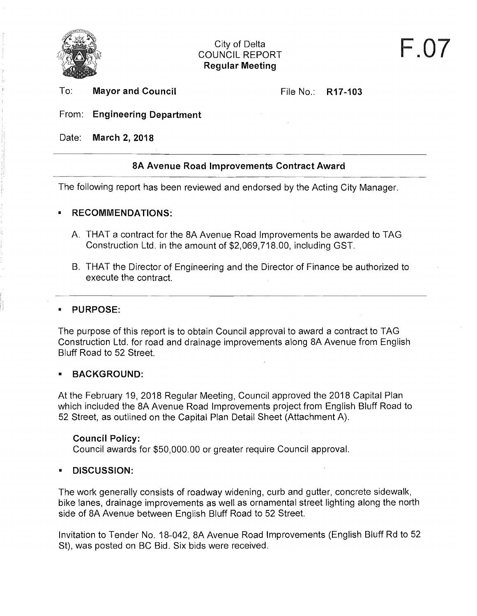

To: **Mayor and Council** 

File No.: **R17-103** 

### From: **Engineering Department**

Date: **March 2, 2018** 

## **8A Avenue Road Improvements Contract Award**

The following report has been reviewed and endorsed by the Acting City Manager.

### **• RECOMMENDATIONS:**

- A. THAT a contract for the 8A Avenue Road Improvements be awarded to TAG Construction Ltd. in the amount of \$2,069,718.00, including GST.
- B. THAT the Director of Engineering and the Director of Finance be authorized to execute the contract.

### **• PURPOSE:**

The purpose of this report is to obtain Council approval to award a contract to TAG Construction Ltd. for road and drainage improvements along 8A Avenue from English Bluff Road to 52 Street.

### **• BACKGROUND:**

At the February 19, 2018 Regular Meeting, Council approved the 2018 Capital Plan which included the 8A Avenue Road Improvements project from English Bluff Road to 52 Street, as outlined on the Capital Plan Detail Sheet (Attachment A).

## **Council Policy:**

Council awards for \$50,000.00 or greater require Council approval.

## **• DISCUSSION:**

The work generally consists of roadway widening, curb and gutter, concrete sidewalk, bike lanes, drainage improvements as well as ornamental street lighting along the north side of 8A Avenue between English Bluff Road to 52 Street.

Invitation to Tender No. 18-042, 8A Avenue Road Improvements (English Bluff Rd to 52 St), was posted on BC Bid. Six bids were received.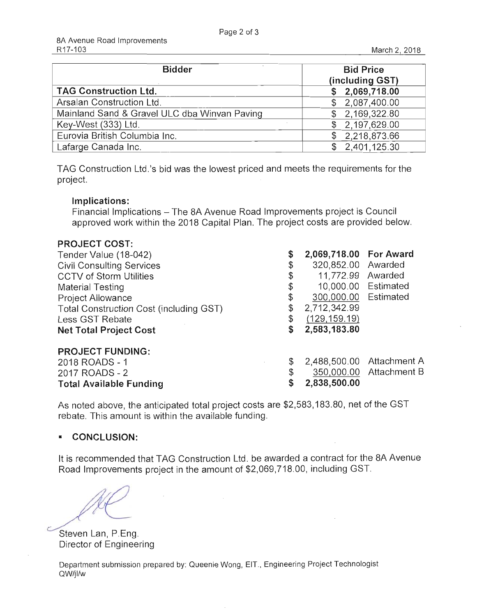| <b>Bidder</b>                                | <b>Bid Price</b><br>(including GST) |
|----------------------------------------------|-------------------------------------|
| <b>TAG Construction Ltd.</b>                 | \$2,069,718.00                      |
| Arsalan Construction Ltd.                    | \$2,087,400.00                      |
| Mainland Sand & Gravel ULC dba Winvan Paving | \$2,169,322.80                      |
| Key-West (333) Ltd.                          | \$2,197,629.00                      |
| Eurovia British Columbia Inc.                | \$2,218,873.66                      |
| Lafarge Canada Inc.                          | \$2,401,125.30                      |

TAG Construction Ltd .'s bid was the lowest priced and meets the requirements for the project.

### **Implications:**

Financial Implications - The 8A Avenue Road Improvements project is Council approved work within the 2018 Capital Plan. The project costs are provided below.

### **PROJECT COST:**

| Tender Value (18-042)                   | \$ | 2,069,718.00 For Award |                           |
|-----------------------------------------|----|------------------------|---------------------------|
| <b>Civil Consulting Services</b>        | \$ | 320,852.00 Awarded     |                           |
| <b>CCTV of Storm Utilities</b>          | \$ | 11,772.99 Awarded      |                           |
| <b>Material Testing</b>                 | \$ | 10,000.00 Estimated    |                           |
| <b>Project Allowance</b>                | \$ | 300,000.00 Estimated   |                           |
| Total Construction Cost (including GST) |    | 2,712,342.99           |                           |
| Less GST Rebate                         | \$ | (129, 159, 19)         |                           |
| <b>Net Total Project Cost</b>           | S  | 2,583,183.80           |                           |
| <b>PROJECT FUNDING:</b>                 |    |                        |                           |
| 2018 ROADS - 1                          | \$ |                        | 2,488,500.00 Attachment A |
| 2017 ROADS - 2                          |    |                        | 350,000.00 Attachment B   |

**Total Available Funding** \$ **2,838,500.00** 

As noted above, the anticipated total project costs are \$2,583,183.80, net of the GST rebate. This amount is within the available funding .

### **• CONCLUSION:**

It is recommended that TAG Construction Ltd. be awarded a contract for the 8A Avenue Road Improvements project in the amount of \$2,069,718.00, including GST.

Steven Lan, P.Eng. Director of Engineering

Department submission prepared by: Queenie Wong, EIT., Engineering Project Technologist QW/jl/w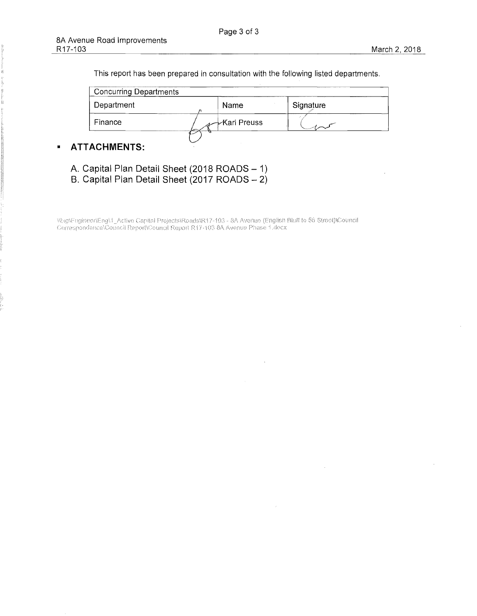This report has been prepared in consultation with the following listed departments.

| <b>Concurring Departments</b> |               |           |
|-------------------------------|---------------|-----------|
| Department                    | Name          | Signature |
| Finance                       | -∕Karl Preuss |           |
|                               |               |           |

**• ATTACHMENTS:** 

A. **Capital Plan Detail Sheet** (2018 **ROADS** - 1)

B. **Capital Plan Detail Sheet** (2017 **ROADS** - 2)

WagtEugineer\Eng\T\_Activn Capital Projects\Roads\R17-103 - 8A Avenue (English Bluff to 56 Street)\Council<br>Correspondence\Council Report\Council Report R17-103 8A Avenue Phase 1.docx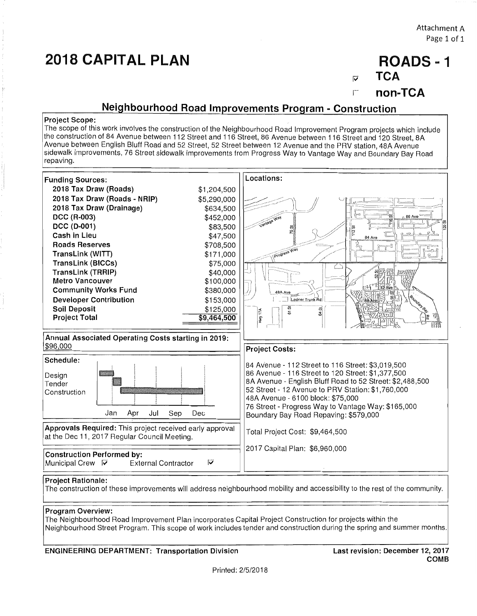# **2018 CAPITAL PLAN**

Attachment A Page 1 of 1

# **ROADS -1**

**TCA**   $\overline{\mathbf{v}}$ 

r **non-TCA** 

### **Neighbourhood Road Improvements Program - Construction**

#### **Project Scope:**

The scope of this work involves the construction of the Neighbourhood Road Improvement Program projects which include the construction of 84 Avenue between 112 Street and 116 Street, 86 Avenue between 116 Street and 120 Street, 8A Avenue between English Bluff Road and 52 Street, 52 Street between 12 Avenue and the PRV station, 48A Avenue sidewalk improvements, 76 Street sidewalk improvements from Progress Way to Vantage Way and Boundary Bay Road repaving.



### **Program Overview:**

The Neighbourhood Road Improvement Plan incorporates Capital Project Construction for projects within the Neighbourhood Street Program. This scope of work includes tender and construction during the spring and summer months.

#### **ENGINEERING DEPARTMENT: Transportation Division**